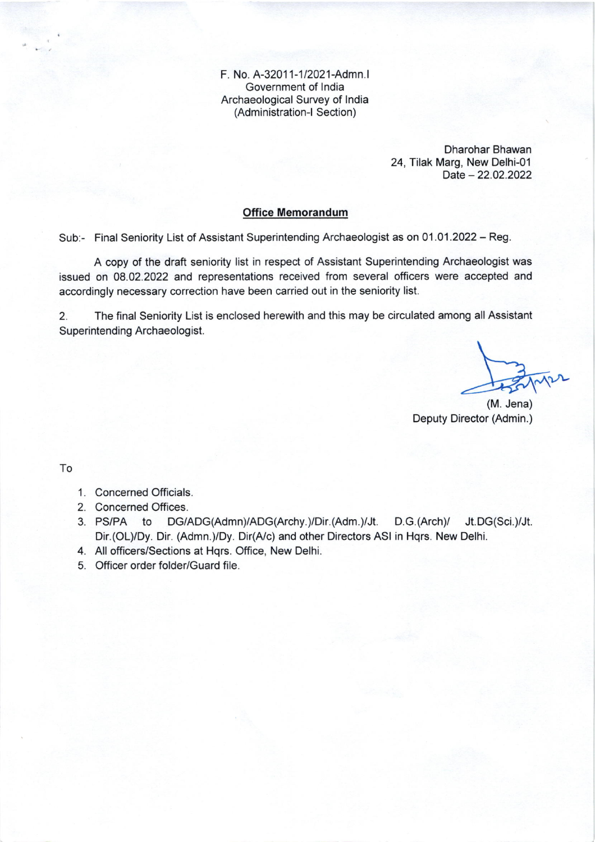F. No. A-32011-1/2021-Admn.l Government of lndia Archaeological Survey of lndia (Administration-l Section)

> Dharohar Bhawan 24, Tilak Marg, New Delhi-01 Date - 22.02.2022

## Office Memorandum

Sub:- Final Seniority List of Assistant Superintending Archaeologist as on 01.01.2022 - Reg.

A copy of the draft seniority list in respect of Assistant Superintending Archaeologist was issued on 08.02.2022 and representations received from several officers were accepted and accordingly necessary correction have been carried out in the seniority list.

2. The final Seniority List is enclosed herewith and this may be circulated among all Assistant Superintending Archaeologist.

(M. Jena) Deputy Director (Admin.)

To

- <sup>1</sup>. Concerned Officials.
- 2. Concerned Offices.
- 3. PS/PA to DG/ADG(Admn)/ADG(Archy.)/Dir.(Adm.)/Jt. D.G.(Arch)/ Jt.DG(Sci.)/Jt. Dir.(OL)/Dy. Dir. (Admn.)/Dy. Dir(A/c) and other Directors ASI in Hqrs. New Delhi.
- 4. All officers/Sections at Hqrs. Office, New Delhi.
- 5. Officer order folder/Guard file.